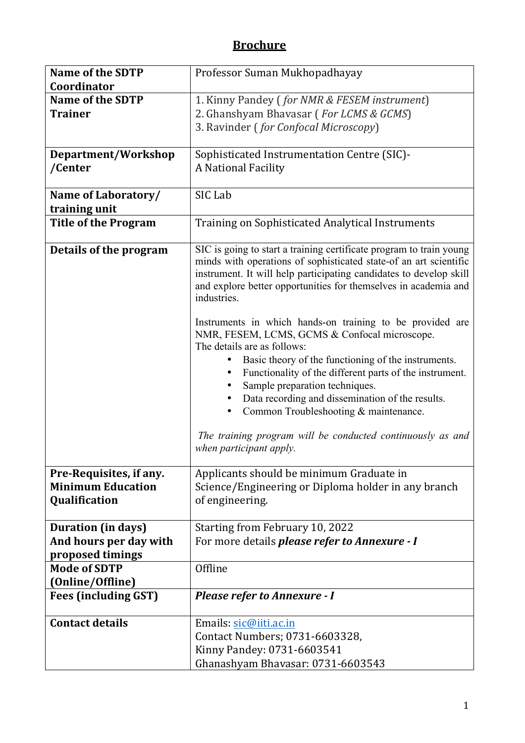## **Brochure**

| <b>Name of the SDTP</b><br>Coordinator | Professor Suman Mukhopadhayay                                                                                                                                                                                                                                                                                                                                                                                                                                                                                                                                                                                                                                                                                                                                                                                     |  |  |  |  |  |
|----------------------------------------|-------------------------------------------------------------------------------------------------------------------------------------------------------------------------------------------------------------------------------------------------------------------------------------------------------------------------------------------------------------------------------------------------------------------------------------------------------------------------------------------------------------------------------------------------------------------------------------------------------------------------------------------------------------------------------------------------------------------------------------------------------------------------------------------------------------------|--|--|--|--|--|
| <b>Name of the SDTP</b>                |                                                                                                                                                                                                                                                                                                                                                                                                                                                                                                                                                                                                                                                                                                                                                                                                                   |  |  |  |  |  |
| <b>Trainer</b>                         | 1. Kinny Pandey (for NMR & FESEM instrument)                                                                                                                                                                                                                                                                                                                                                                                                                                                                                                                                                                                                                                                                                                                                                                      |  |  |  |  |  |
|                                        | 2. Ghanshyam Bhavasar (For LCMS & GCMS)                                                                                                                                                                                                                                                                                                                                                                                                                                                                                                                                                                                                                                                                                                                                                                           |  |  |  |  |  |
|                                        | 3. Ravinder (for Confocal Microscopy)                                                                                                                                                                                                                                                                                                                                                                                                                                                                                                                                                                                                                                                                                                                                                                             |  |  |  |  |  |
| Department/Workshop                    | Sophisticated Instrumentation Centre (SIC)-                                                                                                                                                                                                                                                                                                                                                                                                                                                                                                                                                                                                                                                                                                                                                                       |  |  |  |  |  |
| /Center                                | A National Facility                                                                                                                                                                                                                                                                                                                                                                                                                                                                                                                                                                                                                                                                                                                                                                                               |  |  |  |  |  |
| Name of Laboratory/                    | SIC Lab                                                                                                                                                                                                                                                                                                                                                                                                                                                                                                                                                                                                                                                                                                                                                                                                           |  |  |  |  |  |
| training unit                          |                                                                                                                                                                                                                                                                                                                                                                                                                                                                                                                                                                                                                                                                                                                                                                                                                   |  |  |  |  |  |
| <b>Title of the Program</b>            | Training on Sophisticated Analytical Instruments                                                                                                                                                                                                                                                                                                                                                                                                                                                                                                                                                                                                                                                                                                                                                                  |  |  |  |  |  |
| Details of the program                 | SIC is going to start a training certificate program to train young<br>minds with operations of sophisticated state-of an art scientific<br>instrument. It will help participating candidates to develop skill<br>and explore better opportunities for themselves in academia and<br>industries.<br>Instruments in which hands-on training to be provided are<br>NMR, FESEM, LCMS, GCMS & Confocal microscope.<br>The details are as follows:<br>Basic theory of the functioning of the instruments.<br>$\bullet$<br>Functionality of the different parts of the instrument.<br>Sample preparation techniques.<br>Data recording and dissemination of the results.<br>Common Troubleshooting & maintenance.<br>$\bullet$<br>The training program will be conducted continuously as and<br>when participant apply. |  |  |  |  |  |
| Pre-Requisites, if any.                | Applicants should be minimum Graduate in                                                                                                                                                                                                                                                                                                                                                                                                                                                                                                                                                                                                                                                                                                                                                                          |  |  |  |  |  |
| <b>Minimum Education</b>               | Science/Engineering or Diploma holder in any branch                                                                                                                                                                                                                                                                                                                                                                                                                                                                                                                                                                                                                                                                                                                                                               |  |  |  |  |  |
| Qualification                          | of engineering.                                                                                                                                                                                                                                                                                                                                                                                                                                                                                                                                                                                                                                                                                                                                                                                                   |  |  |  |  |  |
|                                        |                                                                                                                                                                                                                                                                                                                                                                                                                                                                                                                                                                                                                                                                                                                                                                                                                   |  |  |  |  |  |
| <b>Duration (in days)</b>              | Starting from February 10, 2022                                                                                                                                                                                                                                                                                                                                                                                                                                                                                                                                                                                                                                                                                                                                                                                   |  |  |  |  |  |
| And hours per day with                 | For more details <i>please refer to Annexure - I</i>                                                                                                                                                                                                                                                                                                                                                                                                                                                                                                                                                                                                                                                                                                                                                              |  |  |  |  |  |
| proposed timings                       |                                                                                                                                                                                                                                                                                                                                                                                                                                                                                                                                                                                                                                                                                                                                                                                                                   |  |  |  |  |  |
| <b>Mode of SDTP</b>                    | Offline                                                                                                                                                                                                                                                                                                                                                                                                                                                                                                                                                                                                                                                                                                                                                                                                           |  |  |  |  |  |
| (Online/Offline)                       |                                                                                                                                                                                                                                                                                                                                                                                                                                                                                                                                                                                                                                                                                                                                                                                                                   |  |  |  |  |  |
| <b>Fees (including GST)</b>            | <b>Please refer to Annexure - I</b>                                                                                                                                                                                                                                                                                                                                                                                                                                                                                                                                                                                                                                                                                                                                                                               |  |  |  |  |  |
|                                        |                                                                                                                                                                                                                                                                                                                                                                                                                                                                                                                                                                                                                                                                                                                                                                                                                   |  |  |  |  |  |
| <b>Contact details</b>                 | Emails: sic@iiti.ac.in                                                                                                                                                                                                                                                                                                                                                                                                                                                                                                                                                                                                                                                                                                                                                                                            |  |  |  |  |  |
|                                        | Contact Numbers; 0731-6603328,                                                                                                                                                                                                                                                                                                                                                                                                                                                                                                                                                                                                                                                                                                                                                                                    |  |  |  |  |  |
|                                        | Kinny Pandey: 0731-6603541                                                                                                                                                                                                                                                                                                                                                                                                                                                                                                                                                                                                                                                                                                                                                                                        |  |  |  |  |  |
|                                        | Ghanashyam Bhavasar: 0731-6603543                                                                                                                                                                                                                                                                                                                                                                                                                                                                                                                                                                                                                                                                                                                                                                                 |  |  |  |  |  |